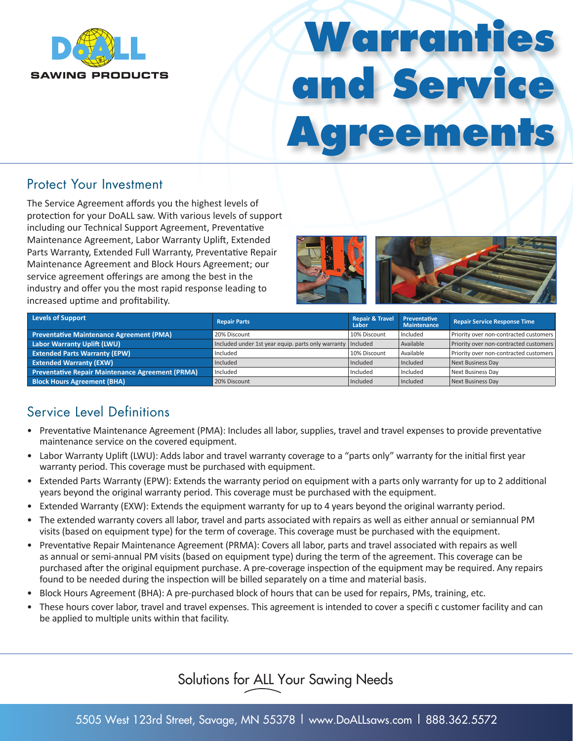

# **Warranties and Service Agreements**

#### Protect Your Investment

The Service Agreement affords you the highest levels of protection for your DoALL saw. With various levels of support including our Technical Support Agreement, Preventative Maintenance Agreement, Labor Warranty Uplift, Extended Parts Warranty, Extended Full Warranty, Preventative Repair Maintenance Agreement and Block Hours Agreement; our service agreement offerings are among the best in the industry and offer you the most rapid response leading to increased uptime and profitability.



| Levels of Support                                       | <b>Repair Parts</b>                                           | <b>Repair &amp; Travel</b><br>Labor | Preventative<br><b>Maintenance</b> | <b>Repair Service Response Time</b>    |
|---------------------------------------------------------|---------------------------------------------------------------|-------------------------------------|------------------------------------|----------------------------------------|
| Preventative Maintenance Agreement (PMA)                | 20% Discount                                                  | 10% Discount                        | Included                           | Priority over non-contracted customers |
| Labor Warranty Uplift (LWU)                             | Included under 1st year equip. parts only warranty   Included |                                     | Available                          | Priority over non-contracted customers |
| <b>Extended Parts Warranty (EPW)</b>                    | Included                                                      | 10% Discount                        | Available                          | Priority over non-contracted customers |
| <b>Extended Warranty (EXW)</b>                          | <b>Included</b>                                               | Included                            | Included                           | Next Business Day                      |
| <b>Preventative Repair Maintenance Agreement (PRMA)</b> | Included                                                      | Included                            | Included                           | <b>Next Business Dav</b>               |
| <b>Block Hours Agreement (BHA)</b>                      | 20% Discount                                                  | Included                            | Included                           | Next Business Day                      |

# Service Level Definitions

- Preventative Maintenance Agreement (PMA): Includes all labor, supplies, travel and travel expenses to provide preventative maintenance service on the covered equipment.
- Labor Warranty Uplift (LWU): Adds labor and travel warranty coverage to a "parts only" warranty for the initial first year warranty period. This coverage must be purchased with equipment.
- Extended Parts Warranty (EPW): Extends the warranty period on equipment with a parts only warranty for up to 2 additional years beyond the original warranty period. This coverage must be purchased with the equipment.
- Extended Warranty (EXW): Extends the equipment warranty for up to 4 years beyond the original warranty period.
- The extended warranty covers all labor, travel and parts associated with repairs as well as either annual or semiannual PM visits (based on equipment type) for the term of coverage. This coverage must be purchased with the equipment.
- Preventative Repair Maintenance Agreement (PRMA): Covers all labor, parts and travel associated with repairs as well as annual or semi-annual PM visits (based on equipment type) during the term of the agreement. This coverage can be purchased after the original equipment purchase. A pre-coverage inspection of the equipment may be required. Any repairs found to be needed during the inspection will be billed separately on a time and material basis.
- Block Hours Agreement (BHA): A pre-purchased block of hours that can be used for repairs, PMs, training, etc.
- These hours cover labor, travel and travel expenses. This agreement is intended to cover a specifi c customer facility and can be applied to multiple units within that facility.

# Solutions for ALL Your Sawing Needs